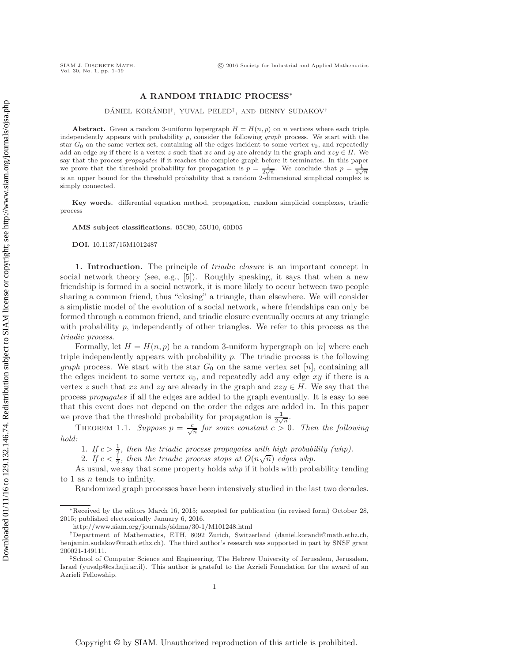# **A RANDOM TRIADIC PROCESS**<sup>∗</sup>

## DÁNIEL KORÁNDI<sup>†</sup>, YUVAL PELED<sup>‡</sup>, AND BENNY SUDAKOV<sup>†</sup>

**Abstract.** Given a random 3-uniform hypergraph  $H = H(n, p)$  on *n* vertices where each triple independently appears with probability *p*, consider the following graph process. We start with the star  $G_0$  on the same vertex set, containing all the edges incident to some vertex  $v_0$ , and repeatedly add an edge *xy* if there is a vertex *z* such that *xz* and *zy* are already in the graph and  $xzy \in H$ . We say that the process *propagates* if it reaches the complete graph before it terminates. In this paper<br>we prove that the threshold probability for propagation is  $p = \frac{1}{2\sqrt{n}}$ . We conclude that  $p = \frac{1}{2\sqrt{n}}$ is an upper bound for the threshold probability that a random 2-dimensional simplicial complex is simply connected.

**Key words.** differential equation method, propagation, random simplicial complexes, triadic process

**AMS subject classifications.** 05C80, 55U10, 60D05

**DOI.** 10.1137/15M1012487

**1. Introduction.** The principle of *triadic closure* is an important concept in social network theory (see, e.g., [\[5\]](#page-18-0)). Roughly speaking, it says that when a new friendship is formed in a social network, it is more likely to occur between two people sharing a common friend, thus "closing" a triangle, than elsewhere. We will consider a simplistic model of the evolution of a social network, where friendships can only be formed through a common friend, and triadic closure eventually occurs at any triangle with probability  $p$ , independently of other triangles. We refer to this process as the *triadic process*.

Formally, let  $H = H(n, p)$  be a random 3-uniform hypergraph on [n] where each triple independently appears with probability  $p$ . The triadic process is the following *graph* process. We start with the star  $G_0$  on the same vertex set  $[n]$ , containing all the edges incident to some vertex  $v_0$ , and repeatedly add any edge  $xy$  if there is a vertex z such that xz and zy are already in the graph and  $xzy \in H$ . We say that the process *propagates* if all the edges are added to the graph eventually. It is easy to see that this event does not depend on the order the edges are added in. In this paper we prove that the threshold probability for propagation is  $\frac{1}{2\sqrt{n}}$ .

<span id="page-0-0"></span>THEOREM 1.1. *Suppose*  $p = \frac{c}{\sqrt{n}}$  for some constant  $c > 0$ . Then the following *hold:*

1. *If*  $c > \frac{1}{2}$ , then the triadic process propagates with high probability (whp).<br>
2. *If*  $c < \frac{1}{2}$ , then the triadic process stops at  $O(n\sqrt{n})$  edges whp.<br>
s usual we say that some property holds who if it holds wi

As usual, we say that some property holds *whp* if it holds with probability tending to 1 as  $n$  tends to infinity.

Randomized graph processes have been intensively studied in the last two decades.

<sup>∗</sup>Received by the editors March 16, 2015; accepted for publication (in revised form) October 28, 2015; published electronically January 6, 2016.

<http://www.siam.org/journals/sidma/30-1/M101248.html>

<sup>†</sup>Department of Mathematics, ETH, 8092 Zurich, Switzerland [\(daniel.korandi@math.ethz.ch,](mailto:daniel.korandi@math.ethz.ch) [benjamin.sudakov@math.ethz.ch\)](mailto:benjamin.sudakov@math.ethz.ch). The third author's research was supported in part by SNSF grant 200021-149111.

<sup>‡</sup>School of Computer Science and Engineering, The Hebrew University of Jerusalem, Jerusalem, Israel [\(yuvalp@cs.huji.ac.il\)](mailto:yuvalp@cs.huji.ac.il). This author is grateful to the Azrieli Foundation for the award of an Azrieli Fellowship.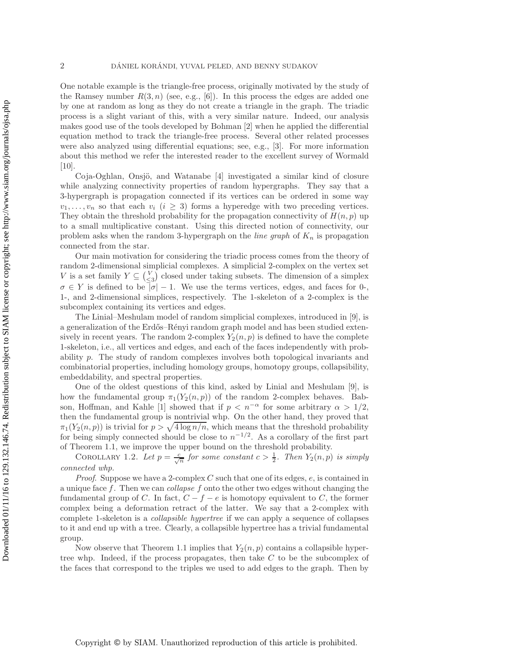One notable example is the triangle-free process, originally motivated by the study of the Ramsey number  $R(3, n)$  (see, e.g., [\[6\]](#page-18-1)). In this process the edges are added one by one at random as long as they do not create a triangle in the graph. The triadic process is a slight variant of this, with a very similar nature. Indeed, our analysis makes good use of the tools developed by Bohman [\[2\]](#page-18-2) when he applied the differential equation method to track the triangle-free process. Several other related processes were also analyzed using differential equations; see, e.g., [\[3\]](#page-18-3). For more information about this method we refer the interested reader to the excellent survey of Wormald [\[10\]](#page-18-4).

Coja-Oghlan, Onsjö, and Watanabe  $[4]$  investigated a similar kind of closure while analyzing connectivity properties of random hypergraphs. They say that a 3-hypergraph is propagation connected if its vertices can be ordered in some way  $v_1,\ldots,v_n$  so that each  $v_i$   $(i \geq 3)$  forms a hyperedge with two preceding vertices. They obtain the threshold probability for the propagation connectivity of  $H(n, p)$  up to a small multiplicative constant. Using this directed notion of connectivity, our problem asks when the random 3-hypergraph on the *line graph* of  $K_n$  is propagation connected from the star.

Our main motivation for considering the triadic process comes from the theory of random 2-dimensional simplicial complexes. A simplicial 2-complex on the vertex set V is a set family  $Y \subseteq {V \choose \leq 3}$  closed under taking subsets. The dimension of a simplex  $\sigma \in Y$  is defined to be  $|\sigma| - 1$ . We use the terms vertices, edges, and faces for 0-, 1-, and 2-dimensional simplices, respectively. The 1-skeleton of a 2-complex is the subcomplex containing its vertices and edges.

The Linial–Meshulam model of random simplicial complexes, introduced in [\[9\]](#page-18-6), is a generalization of the Erdős–Rényi random graph model and has been studied extensively in recent years. The random 2-complex  $Y_2(n, p)$  is defined to have the complete 1-skeleton, i.e., all vertices and edges, and each of the faces independently with probability p. The study of random complexes involves both topological invariants and combinatorial properties, including homology groups, homotopy groups, collapsibility, embeddability, and spectral properties.

One of the oldest questions of this kind, asked by Linial and Meshulam [\[9\]](#page-18-6), is how the fundamental group  $\pi_1(Y_2(n, p))$  of the random 2-complex behaves. Bab-son, Hoffman, and Kahle [\[1\]](#page-18-7) showed that if  $p < n^{-\alpha}$  for some arbitrary  $\alpha > 1/2$ , then the fundamental group is nontrivial whp. On the other hand, they proved that  $\pi_1(Y_2(n, p))$  is trivial for  $p > \sqrt{4 \log n/n}$ , which means that the threshold probability for being simply connected should be close to  $n^{-1/2}$ . As a corollary of the first part of Theorem [1.1,](#page-0-0) we improve the upper bound on the threshold probability.

<span id="page-1-0"></span>COROLLARY 1.2. Let  $p = \frac{c}{\sqrt{n}}$  for some constant  $c > \frac{1}{2}$ . Then  $Y_2(n, p)$  is simply *connected whp.*

*Proof.* Suppose we have a 2-complex C such that one of its edges, e, is contained in a unique face f. Then we can *collapse* f onto the other two edges without changing the fundamental group of C. In fact,  $C - f - e$  is homotopy equivalent to C, the former complex being a deformation retract of the latter. We say that a 2-complex with complete 1-skeleton is a *collapsible hypertree* if we can apply a sequence of collapses to it and end up with a tree. Clearly, a collapsible hypertree has a trivial fundamental group.

Now observe that Theorem [1.1](#page-0-0) implies that  $Y_2(n, p)$  contains a collapsible hypertree whp. Indeed, if the process propagates, then take  $C$  to be the subcomplex of the faces that correspond to the triples we used to add edges to the graph. Then by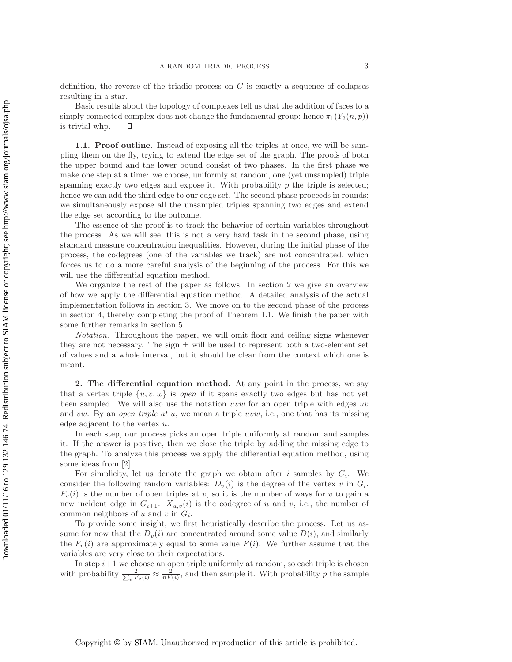definition, the reverse of the triadic process on  $C$  is exactly a sequence of collapses resulting in a star.

Basic results about the topology of complexes tell us that the addition of faces to a simply connected complex does not change the fundamental group; hence  $\pi_1(Y_2(n, p))$  is trivial whp.  $\square$ is trivial whp.

**1.1. Proof outline.** Instead of exposing all the triples at once, we will be sampling them on the fly, trying to extend the edge set of the graph. The proofs of both the upper bound and the lower bound consist of two phases. In the first phase we make one step at a time: we choose, uniformly at random, one (yet unsampled) triple spanning exactly two edges and expose it. With probability  $p$  the triple is selected; hence we can add the third edge to our edge set. The second phase proceeds in rounds: we simultaneously expose all the unsampled triples spanning two edges and extend the edge set according to the outcome.

The essence of the proof is to track the behavior of certain variables throughout the process. As we will see, this is not a very hard task in the second phase, using standard measure concentration inequalities. However, during the initial phase of the process, the codegrees (one of the variables we track) are not concentrated, which forces us to do a more careful analysis of the beginning of the process. For this we will use the differential equation method.

We organize the rest of the paper as follows. In section [2](#page-2-0) we give an overview of how we apply the differential equation method. A detailed analysis of the actual implementation follows in section [3.](#page-5-0) We move on to the second phase of the process in section [4,](#page-14-0) thereby completing the proof of Theorem [1.1.](#page-0-0) We finish the paper with some further remarks in section [5.](#page-17-0)

*Notation*. Throughout the paper, we will omit floor and ceiling signs whenever they are not necessary. The sign  $\pm$  will be used to represent both a two-element set of values and a whole interval, but it should be clear from the context which one is meant.

<span id="page-2-0"></span>**2. The differential equation method.** At any point in the process, we say that a vertex triple  $\{u, v, w\}$  is *open* if it spans exactly two edges but has not yet been sampled. We will also use the notation uvw for an open triple with edges uv and vw. By an *open triple at* u, we mean a triple uvw, i.e., one that has its missing edge adjacent to the vertex u.

In each step, our process picks an open triple uniformly at random and samples it. If the answer is positive, then we close the triple by adding the missing edge to the graph. To analyze this process we apply the differential equation method, using some ideas from [\[2\]](#page-18-2).

For simplicity, let us denote the graph we obtain after i samples by  $G_i$ . We consider the following random variables:  $D_v(i)$  is the degree of the vertex v in  $G_i$ .  $F_v(i)$  is the number of open triples at v, so it is the number of ways for v to gain a new incident edge in  $G_{i+1}$ .  $X_{u,v}(i)$  is the codegree of u and v, i.e., the number of common neighbors of u and v in  $G_i$ .

To provide some insight, we first heuristically describe the process. Let us assume for now that the  $D_v(i)$  are concentrated around some value  $D(i)$ , and similarly the  $F_v(i)$  are approximately equal to some value  $F(i)$ . We further assume that the variables are very close to their expectations.

In step  $i+1$  we choose an open triple uniformly at random, so each triple is chosen with probability  $\frac{2}{\sum_v F_v(i)} \approx \frac{2}{nF(i)}$ , and then sample it. With probability p the sample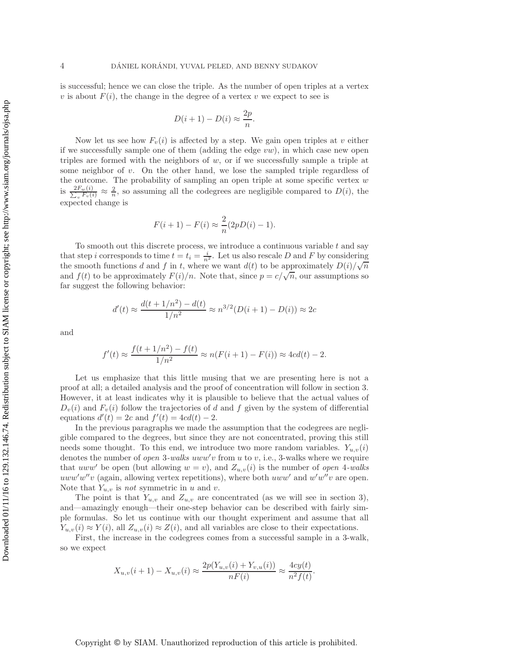is successful; hence we can close the triple. As the number of open triples at a vertex v is about  $F(i)$ , the change in the degree of a vertex v we expect to see is

$$
D(i+1) - D(i) \approx \frac{2p}{n}.
$$

Now let us see how  $F_v(i)$  is affected by a step. We gain open triples at v either if we successfully sample one of them (adding the edge  $vw$ ), in which case new open triples are formed with the neighbors of  $w$ , or if we successfully sample a triple at some neighbor of  $v$ . On the other hand, we lose the sampled triple regardless of the outcome. The probability of sampling an open triple at some specific vertex  $w$ is  $\frac{2F_w(i)}{\sum_v F_v(i)} \approx \frac{2}{n}$ , so assuming all the codegrees are negligible compared to  $D(i)$ , the expected change is

$$
F(i + 1) - F(i) \approx \frac{2}{n}(2pD(i) - 1).
$$

To smooth out this discrete process, we introduce a continuous variable  $t$  and say that step i corresponds to time  $t = t_i = \frac{i}{n^2}$ . Let us also rescale D and F by considering that step t corresponds to the  $t = t_i - \frac{1}{n^2}$ . Let us also rescale D and T by considering<br>the smooth functions d and f in t, where we want  $d(t)$  to be approximately  $D(i)/\sqrt{n}$ and  $f(t)$  to be approximately  $F(i)/n$ . Note that, since  $p = c/\sqrt{n}$ , our assumptions so far suggest the following behavior:

$$
d'(t) \approx \frac{d(t + 1/n^2) - d(t)}{1/n^2} \approx n^{3/2} (D(i + 1) - D(i)) \approx 2c
$$

and

$$
f'(t) \approx \frac{f(t + 1/n^2) - f(t)}{1/n^2} \approx n(F(i + 1) - F(i)) \approx 4cd(t) - 2.
$$

Let us emphasize that this little musing that we are presenting here is not a proof at all; a detailed analysis and the proof of concentration will follow in section [3.](#page-5-0) However, it at least indicates why it is plausible to believe that the actual values of  $D_v(i)$  and  $F_v(i)$  follow the trajectories of d and f given by the system of differential equations  $d'(t) = 2c$  and  $f'(t) = 4cd(t) - 2$ .

In the previous paragraphs we made the assumption that the codegrees are negligible compared to the degrees, but since they are not concentrated, proving this still needs some thought. To this end, we introduce two more random variables.  $Y_{u,v}(i)$ denotes the number of *open* 3-walks uww'v from u to v, i.e., 3-walks where we require that uww' be open (but allowing  $w = v$ ), and  $Z_{u,v}(i)$  is the number of *open* 4-walks  $uww'w''v$  (again, allowing vertex repetitions), where both  $uww'$  and  $w'w''v$  are open. Note that  $Y_{u,v}$  is *not* symmetric in u and v.

The point is that  $Y_{u,v}$  and  $Z_{u,v}$  are concentrated (as we will see in section [3\)](#page-5-0), and—amazingly enough—their one-step behavior can be described with fairly simple formulas. So let us continue with our thought experiment and assume that all  $Y_{u,v}(i) \approx Y(i)$ , all  $Z_{u,v}(i) \approx Z(i)$ , and all variables are close to their expectations.

First, the increase in the codegrees comes from a successful sample in a 3-walk, so we expect

$$
X_{u,v}(i+1) - X_{u,v}(i) \approx \frac{2p(Y_{u,v}(i) + Y_{v,u}(i))}{nF(i)} \approx \frac{4cy(t)}{n^2f(t)}.
$$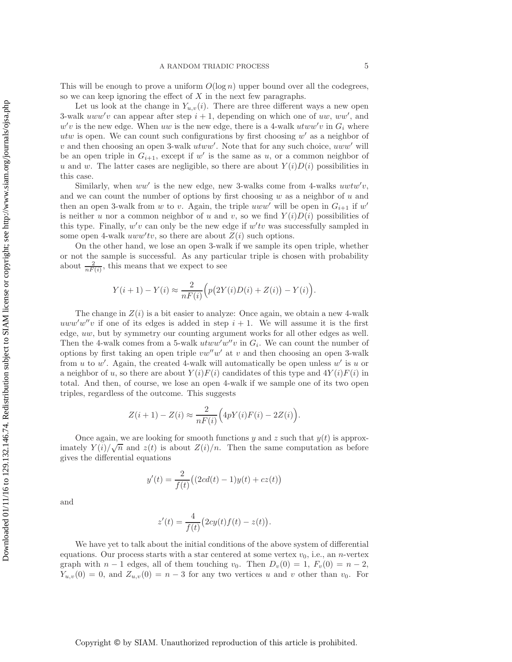This will be enough to prove a uniform  $O(\log n)$  upper bound over all the codegrees, so we can keep ignoring the effect of  $X$  in the next few paragraphs.

Let us look at the change in  $Y_{u,v}(i)$ . There are three different ways a new open 3-walk  $uww'v$  can appear after step  $i + 1$ , depending on which one of uw, ww', and  $w'v$  is the new edge. When uw is the new edge, there is a 4-walk  $utww'v$  in  $G_i$  where utw is open. We can count such configurations by first choosing  $w'$  as a neighbor of  $v$  and then choosing an open 3-walk  $utww'$ . Note that for any such choice,  $uww'$  will be an open triple in  $G_{i+1}$ , except if w' is the same as u, or a common neighbor of u and w. The latter cases are negligible, so there are about  $Y(i)D(i)$  possibilities in this case.

Similarly, when  $ww'$  is the new edge, new 3-walks come from 4-walks  $uwtw'v$ , and we can count the number of options by first choosing  $w$  as a neighbor of  $u$  and then an open 3-walk from w to v. Again, the triple uww' will be open in  $G_{i+1}$  if w' is neither u nor a common neighbor of u and v, so we find  $Y(i)D(i)$  possibilities of this type. Finally,  $w'v$  can only be the new edge if  $w'tv$  was successfully sampled in some open 4-walk  $uww'tv$ , so there are about  $Z(i)$  such options.

On the other hand, we lose an open 3-walk if we sample its open triple, whether or not the sample is successful. As any particular triple is chosen with probability about  $\frac{2}{nF(i)}$ , this means that we expect to see

$$
Y(i + 1) - Y(i) \approx \frac{2}{nF(i)} (p(2Y(i)D(i) + Z(i)) - Y(i)).
$$

The change in  $Z(i)$  is a bit easier to analyze: Once again, we obtain a new 4-walk  $uww'w''v$  if one of its edges is added in step  $i + 1$ . We will assume it is the first edge, uw, but by symmetry our counting argument works for all other edges as well. Then the 4-walk comes from a 5-walk  $utww'w''v$  in  $G_i$ . We can count the number of options by first taking an open triple  $vw''w'$  at v and then choosing an open 3-walk from u to w'. Again, the created 4-walk will automatically be open unless  $w'$  is u or a neighbor of u, so there are about  $Y(i)F(i)$  candidates of this type and  $4Y(i)F(i)$  in total. And then, of course, we lose an open 4-walk if we sample one of its two open triples, regardless of the outcome. This suggests

$$
Z(i + 1) - Z(i) \approx \frac{2}{nF(i)} \Big( 4pY(i)F(i) - 2Z(i) \Big).
$$

Once again, we are looking for smooth functions y and z such that  $y(t)$  is approximately  $Y(i)/\sqrt{n}$  and  $z(t)$  is about  $Z(i)/n$ . Then the same computation as before gives the differential equations

$$
y'(t) = \frac{2}{f(t)}((2cd(t) - 1)y(t) + cz(t))
$$

and

$$
z'(t) = \frac{4}{f(t)}(2cy(t)f(t) - z(t)).
$$

We have yet to talk about the initial conditions of the above system of differential equations. Our process starts with a star centered at some vertex  $v_0$ , i.e., an *n*-vertex graph with  $n-1$  edges, all of them touching  $v_0$ . Then  $D_v(0) = 1$ ,  $F_v(0) = n-2$ ,  $Y_{u,v}(0) = 0$ , and  $Z_{u,v}(0) = n-3$  for any two vertices u and v other than  $v_0$ . For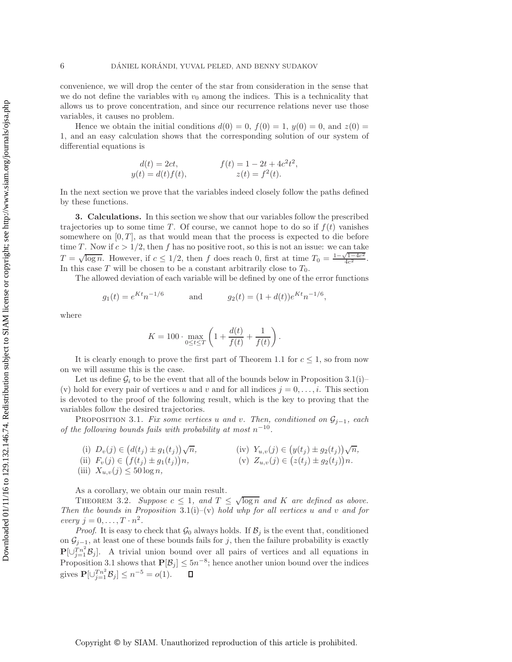convenience, we will drop the center of the star from consideration in the sense that we do not define the variables with  $v_0$  among the indices. This is a technicality that allows us to prove concentration, and since our recurrence relations never use those variables, it causes no problem.

Hence we obtain the initial conditions  $d(0) = 0$ ,  $f(0) = 1$ ,  $y(0) = 0$ , and  $z(0) = 0$ 1, and an easy calculation shows that the corresponding solution of our system of differential equations is

$$
d(t) = 2ct,
$$
  
\n
$$
y(t) = d(t)f(t),
$$
  
\n
$$
f(t) = 1 - 2t + 4c^2t^2,
$$
  
\n
$$
z(t) = f^2(t).
$$

In the next section we prove that the variables indeed closely follow the paths defined by these functions.

<span id="page-5-0"></span>**3. Calculations.** In this section we show that our variables follow the prescribed trajectories up to some time T. Of course, we cannot hope to do so if  $f(t)$  vanishes somewhere on  $[0, T]$ , as that would mean that the process is expected to die before time T. Now if  $c > 1/2$ , then f has no positive root, so this is not an issue: we can take T =  $\sqrt{\log n}$ . However, if  $c \leq 1/2$ , then f does reach 0, first at time  $T_0 = \frac{1-\sqrt{1-4c^2}}{4c^2}$ .<br>In this case T will be chosen to be a constant arbitrarily close to  $T_0$ . In this case T will be chosen to be a constant arbitrarily close to  $T_0$ .

The allowed deviation of each variable will be defined by one of the error functions

$$
g_1(t) = e^{Kt}n^{-1/6}
$$
 and  $g_2(t) = (1 + d(t))e^{Kt}n^{-1/6}$ ,

where

$$
K = 100 \cdot \max_{0 \le t \le T} \left( 1 + \frac{d(t)}{f(t)} + \frac{1}{f(t)} \right).
$$

It is clearly enough to prove the first part of Theorem [1.1](#page-0-0) for  $c \leq 1$ , so from now on we will assume this is the case.

Let us define  $\mathcal{G}_i$  to be the event that all of the bounds below in Proposition [3.1\(](#page-5-1)i)– (v) hold for every pair of vertices u and v and for all indices  $j = 0, \ldots, i$ . This section is devoted to the proof of the following result, which is the key to proving that the variables follow the desired trajectories.

<span id="page-5-1"></span>Proposition 3.1. *Fix some vertices* <sup>u</sup> *and* <sup>v</sup>*. Then, conditioned on* <sup>G</sup><sup>j</sup>−1*, each of the following bounds fails with probability at most* n<sup>−</sup>10*.*

(i) 
$$
D_v(j) \in (d(t_j) \pm g_1(t_j))\sqrt{n}
$$
,   
\n(ii)  $Y_{u,v}(j) \in (y(t_j) \pm g_2(t_j))\sqrt{n}$ ,  
\n(i)  $\sum_{i=1}^n (f(t_i) - f(t_j)) \in (f(t_j) \pm g_2(t_j))\sqrt{n}$ ,

(ii) 
$$
F_v(j) \in (f(t_j) \pm g_1(t_j))n
$$
,  
\n(iii)  $X_{u,v}(j) \le 50 \log n$ ,  
\n(v)  $Z_{u,v}(j) \in (z(t_j) \pm g_2(t_j))n$ .

As a corollary, we obtain our main result.

<span id="page-5-2"></span>THEOREM 3.2. *Suppose*  $c \leq 1$ *, and*  $T \leq \sqrt{\log n}$  *and* K *are defined as above. Then the bounds in Proposition* [3.1\(](#page-5-1)i)–(v) *hold whp for all vertices* u *and* v *and for every*  $j = 0, \ldots, T \cdot n^2$ .

*Proof.* It is easy to check that  $\mathcal{G}_0$  always holds. If  $\mathcal{B}_j$  is the event that, conditioned on  $\mathcal{G}_{j-1}$ , at least one of these bounds fails for j, then the failure probability is exactly  $\mathbf{P}[\cup_{j=1}^{T} B_j].$  A trivial union bound over all pairs of vertices and all equations in<br>Proposition 2.1 shows that  $\mathbf{D}[B] \leq 5x^{-8}$ , hopes enother wise hound over the indices Proposition [3.1](#page-5-1) shows that  $P[\mathcal{B}_j] \leq 5n^{-8}$ ; hence another union bound over the indices gives  $P[\cup_{j=1}^{Tn^2} \mathcal{B}_j] \leq n^{-5} = o(1)$ .  $\Box$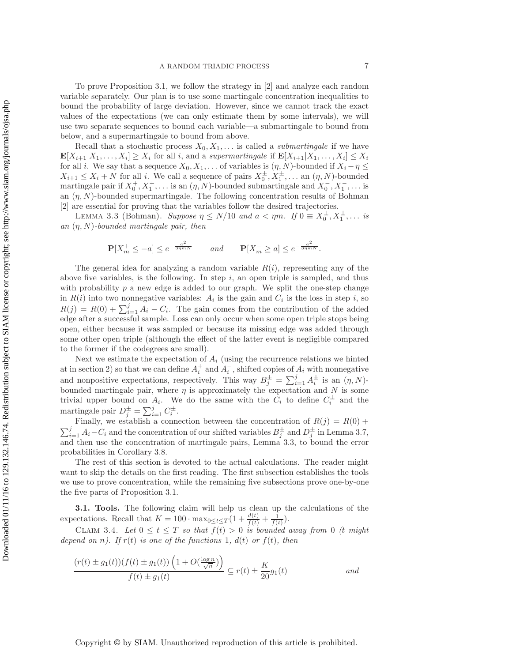To prove Proposition [3.1,](#page-5-1) we follow the strategy in [\[2\]](#page-18-2) and analyze each random variable separately. Our plan is to use some martingale concentration inequalities to bound the probability of large deviation. However, since we cannot track the exact values of the expectations (we can only estimate them by some intervals), we will use two separate sequences to bound each variable—a submartingale to bound from below, and a supermartingale to bound from above.

Recall that a stochastic process  $X_0, X_1, \ldots$  is called a *submartingale* if we have  $\mathbf{E}[X_{i+1}|X_1,\ldots,X_i] \geq X_i$  for all i, and a *supermartingale* if  $\mathbf{E}[X_{i+1}|X_1,\ldots,X_i] \leq X_i$ for all *i*. We say that a sequence  $X_0, X_1, \ldots$  of variables is  $(\eta, N)$ -bounded if  $X_i - \eta \leq$  $X_{i+1} \leq X_i + N$  for all i. We call a sequence of pairs  $X_0^{\pm}, X_1^{\pm}, \ldots$  an  $(\eta, N)$ -bounded<br>martingale pair if  $X^+$   $X^+$  is an  $(n, N)$ -bounded submartingale and  $X^ X^-$  is martingale pair if  $X_0^+, X_1^+, \ldots$  is an  $(\eta, N)$ -bounded submartingale and  $X_0^-, X_1^-, \ldots$  is an  $(\eta, N)$ -bounded supermartingale. The following concentration results of Bohman [\[2\]](#page-18-2) are essential for proving that the variables follow the desired trajectories.

<span id="page-6-0"></span>LEMMA 3.3 (Bohman). *Suppose*  $\eta \le N/10$  *and*  $a < \eta m$ . If  $0 \equiv X_0^{\pm}, X_1^{\pm}, \ldots$  *is*  $N$ , bounded martingals noir, then *an* (η, N)*-bounded martingale pair, then*

$$
\mathbf{P}[X_m^+ \le -a] \le e^{-\frac{a^2}{3\eta m N}} \qquad \text{and} \qquad \mathbf{P}[X_m^- \ge a] \le e^{-\frac{a^2}{3\eta m N}}.
$$

The general idea for analyzing a random variable  $R(i)$ , representing any of the above five variables, is the following. In step  $i$ , an open triple is sampled, and thus with probability  $p$  a new edge is added to our graph. We split the one-step change in  $R(i)$  into two nonnegative variables:  $A_i$  is the gain and  $C_i$  is the loss in step i, so  $R(j) = R(0) + \sum_{i=1}^{j} A_i - C_i$ . The gain comes from the contribution of the added edge after a successful sample. Loss can only occur when some open triple stops being edge after a successful sample. Loss can only occur when some open triple stops being open, either because it was sampled or because its missing edge was added through some other open triple (although the effect of the latter event is negligible compared to the former if the codegrees are small).

Next we estimate the expectation of  $A_i$  (using the recurrence relations we hinted at in section [2\)](#page-2-0) so that we can define  $A_i^+$  and  $A_i^-$ , shifted copies of  $A_i$  with nonnegative and nonpositive expectations, respectively. This way  $B_j^{\pm} = \sum_{i=1}^j A_i^{\pm}$  is an  $(\eta, N)$ -<br>bounded martingale pair, where *n* is approximately the expectation and *N* is some bounded martingale pair, where  $\eta$  is approximately the expectation and N is some trivial upper bound on  $A_i$ . We do the same with the  $C_i$  to define  $C_i^{\pm}$  and the martingale pair  $D_j^{\pm} = \sum_{i=1}^j C_i^{\pm}$ .<br>Finally, we establish a conn

Finally, we establish a connection between the concentration of  $R(j) = R(0)$  +  $\sum_{i=1}^{j} A_i - C_i$  and the concentration of our shifted variables  $B_j^{\pm}$  and  $D_j^{\pm}$  in Lemma [3.7,](#page-8-0) and then use the concentration of martingale pairs, Lemma [3.3,](#page-6-0) to bound the error probabilities in Corollary [3.8.](#page-9-0)

The rest of this section is devoted to the actual calculations. The reader might want to skip the details on the first reading. The first subsection establishes the tools we use to prove concentration, while the remaining five subsections prove one-by-one the five parts of Proposition [3.1.](#page-5-1)

**3.1. Tools.** The following claim will help us clean up the calculations of the expectations. Recall that  $K = 100 \cdot \max_{0 \le t \le T} \left(1 + \frac{d(t)}{f(t)} + \frac{1}{f(t)}\right)$ .

<span id="page-6-1"></span>CLAIM 3.4. Let  $0 \le t \le T$  so that  $f(t) > 0$  is bounded away from 0 *(t might depend on n). If*  $r(t)$  *is one of the functions* 1*, d(t) or*  $f(t)$ *, then* 

$$
\frac{(r(t) \pm g_1(t))(f(t) \pm g_1(t))\left(1 + O\left(\frac{\log n}{\sqrt{n}}\right)\right)}{f(t) \pm g_1(t)} \subseteq r(t) \pm \frac{K}{20}g_1(t)
$$
 and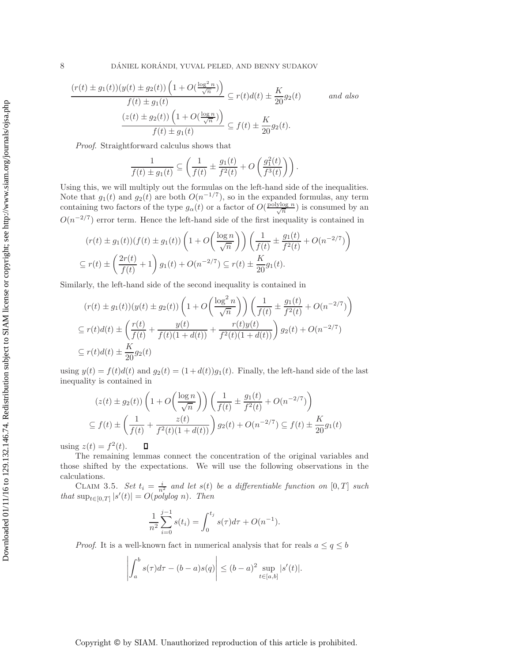8 DÁNIEL KORÁNDI, YUVAL PELED, AND BENNY SUDAKOV

$$
\frac{(r(t) \pm g_1(t))(y(t) \pm g_2(t))\left(1 + O\left(\frac{\log^2 n}{\sqrt{n}}\right)\right)}{f(t) \pm g_1(t)} \subseteq r(t)d(t) \pm \frac{K}{20}g_2(t) \quad \text{and also}
$$

$$
\frac{(z(t) \pm g_2(t))\left(1 + O\left(\frac{\log n}{\sqrt{n}}\right)\right)}{f(t) \pm g_1(t)} \subseteq f(t) \pm \frac{K}{20}g_2(t).
$$

*Proof*. Straightforward calculus shows that

$$
\frac{1}{f(t) \pm g_1(t)} \subseteq \left(\frac{1}{f(t)} \pm \frac{g_1(t)}{f^2(t)} + O\left(\frac{g_1^2(t)}{f^3(t)}\right)\right).
$$

Using this, we will multiply out the formulas on the left-hand side of the inequalities. Note that  $g_1(t)$  and  $g_2(t)$  are both  $O(n^{-1/7})$ , so in the expanded formulas, any term containing two factors of the type  $g_{\alpha}(t)$  or a factor of  $O(\frac{\text{polylog }n}{\sqrt{n}})$  is consumed by an  $O(n^{-2/7})$  error term. Hence the left-hand side of the first inequality is contained in

$$
(r(t) \pm g_1(t))(f(t) \pm g_1(t))\left(1 + O\left(\frac{\log n}{\sqrt{n}}\right)\right)\left(\frac{1}{f(t)} \pm \frac{g_1(t)}{f^2(t)} + O(n^{-2/7})\right)
$$
  

$$
\subseteq r(t) \pm \left(\frac{2r(t)}{f(t)} + 1\right)g_1(t) + O(n^{-2/7}) \subseteq r(t) \pm \frac{K}{20}g_1(t).
$$

Similarly, the left-hand side of the second inequality is contained in

$$
(r(t) \pm g_1(t))(y(t) \pm g_2(t)) \left(1 + O\left(\frac{\log^2 n}{\sqrt{n}}\right)\right) \left(\frac{1}{f(t)} \pm \frac{g_1(t)}{f^2(t)} + O(n^{-2/7})\right)
$$
  
\n
$$
\subseteq r(t)d(t) \pm \left(\frac{r(t)}{f(t)} + \frac{y(t)}{f(t)(1 + d(t))} + \frac{r(t)y(t)}{f^2(t)(1 + d(t))}\right)g_2(t) + O(n^{-2/7})
$$
  
\n
$$
\subseteq r(t)d(t) \pm \frac{K}{20}g_2(t)
$$

using  $y(t) = f(t)d(t)$  and  $g_2(t) = (1 + d(t))g_1(t)$ . Finally, the left-hand side of the last inequality is contained in

$$
(z(t) \pm g_2(t)) \left( 1 + O\left(\frac{\log n}{\sqrt{n}}\right) \right) \left( \frac{1}{f(t)} \pm \frac{g_1(t)}{f^2(t)} + O(n^{-2/7}) \right)
$$
  

$$
\subseteq f(t) \pm \left( \frac{1}{f(t)} + \frac{z(t)}{f^2(t)(1 + d(t))} \right) g_2(t) + O(n^{-2/7}) \subseteq f(t) \pm \frac{K}{20} g_1(t)
$$

using  $z(t) = f^2(t)$ .  $\Box$ 

The remaining lemmas connect the concentration of the original variables and those shifted by the expectations. We will use the following observations in the calculations.

<span id="page-7-0"></span>CLAIM 3.5. *Set*  $t_i = \frac{i}{n_i^2}$  and let  $s(t)$  be a differentiable function on  $[0, T]$  such *that*  $\sup_{t \in [0,T]} |s'(t)| = O(p\omega y \log n)$ *. Then* 

$$
\frac{1}{n^2} \sum_{i=0}^{j-1} s(t_i) = \int_0^{t_j} s(\tau) d\tau + O(n^{-1}).
$$

*Proof.* It is a well-known fact in numerical analysis that for reals  $a \leq q \leq b$ 

$$
\left| \int_a^b s(\tau) d\tau - (b-a)s(q) \right| \le (b-a)^2 \sup_{t \in [a,b]} |s'(t)|.
$$

Copyright © by SIAM. Unauthorized reproduction of this article is prohibited.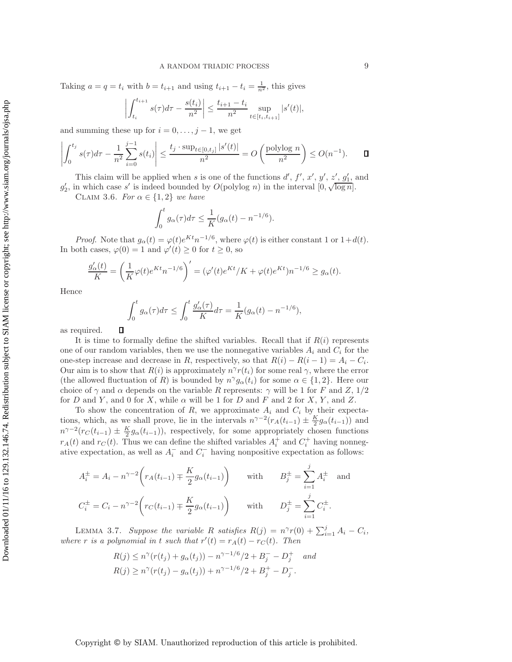Taking  $a = q = t_i$  with  $b = t_{i+1}$  and using  $t_{i+1} - t_i = \frac{1}{n^2}$ , this gives

$$
\left| \int_{t_i}^{t_{i+1}} s(\tau) d\tau - \frac{s(t_i)}{n^2} \right| \le \frac{t_{i+1} - t_i}{n^2} \sup_{t \in [t_i, t_{i+1}]} |s'(t)|,
$$

and summing these up for  $i = 0, \ldots, j - 1$ , we get

$$
\left| \int_0^{t_j} s(\tau) d\tau - \frac{1}{n^2} \sum_{i=0}^{j-1} s(t_i) \right| \le \frac{t_j \cdot \sup_{t \in [0, t_j]} |s'(t)|}{n^2} = O\left(\frac{\text{polylog } n}{n^2}\right) \le O(n^{-1}). \qquad \Box
$$

<span id="page-8-1"></span>This claim will be applied when s is one of the functions  $d', f', x', y', z', g'_1$ , and<br>n which gase s' is indeed bounded by  $O(\text{polylog } n)$  in the interval  $[0, \sqrt{\log n}]$ This claim will be applied when s is one of the functions  $a, f, x, y, z, g_1, s_2, g'_2$ , in which case s' is indeed bounded by  $O(\text{polylog } n)$  in the interval  $[0, \sqrt{\log n}]$ .

CLAIM 3.6. *For*  $\alpha \in \{1,2\}$  *we have* 

$$
\int_0^t g_\alpha(\tau)d\tau \leq \frac{1}{K}(g_\alpha(t) - n^{-1/6}).
$$

*Proof.* Note that  $g_{\alpha}(t) = \varphi(t)e^{Kt}n^{-1/6}$ , where  $\varphi(t)$  is either constant 1 or  $1+d(t)$ . In both cases,  $\varphi(0) = 1$  and  $\varphi'(t) \ge 0$  for  $t \ge 0$ , so

$$
\frac{g'_{\alpha}(t)}{K} = \left(\frac{1}{K}\varphi(t)e^{Kt}n^{-1/6}\right)' = (\varphi'(t)e^{Kt}/K + \varphi(t)e^{Kt})n^{-1/6} \ge g_{\alpha}(t).
$$

Hence

$$
\int_0^t g_{\alpha}(\tau) d\tau \le \int_0^t \frac{g'_{\alpha}(\tau)}{K} d\tau = \frac{1}{K} (g_{\alpha}(t) - n^{-1/6}),
$$

 $\Box$ as required.

It is time to formally define the shifted variables. Recall that if  $R(i)$  represents one of our random variables, then we use the nonnegative variables  $A_i$  and  $C_i$  for the one-step increase and decrease in R, respectively, so that  $R(i) - R(i - 1) = A_i - C_i$ . Our aim is to show that  $R(i)$  is approximately  $n^{\gamma}r(t_i)$  for some real  $\gamma$ , where the error (the allowed fluctuation of R) is bounded by  $n^{\gamma}g_{\alpha}(t_i)$  for some  $\alpha \in \{1,2\}$ . Here our choice of  $\gamma$  and  $\alpha$  depends on the variable R represents:  $\gamma$  will be 1 for F and Z, 1/2 for D and Y, and 0 for X, while  $\alpha$  will be 1 for D and F and 2 for X, Y, and Z.

To show the concentration of  $R$ , we approximate  $A_i$  and  $C_i$  by their expectations, which, as we shall prove, lie in the intervals  $n^{\gamma-2}(r_A(t_{i-1}) \pm \frac{K}{2} g_\alpha(t_{i-1}))$  and<br> $n^{\gamma-2}(r_A(t_{i-1}) \pm K g_\alpha(t_{i-1}))$  respectively for some appropriately chosen functions  $n^{\gamma-2}(r_C(t_{i-1}) \pm \frac{K}{2} g_\alpha(t_{i-1}))$ , respectively, for some appropriately chosen functions  $r_1(t)$  and  $r_2(t)$ . Thus we say define the shifted variables  $A^+$  and  $C^+$  beyong nanneg  $r_A(t)$  and  $r_C(t)$ . Thus we can define the shifted variables  $A_i^+$  and  $C_i^+$  having nonnegative expectation, as well as  $A_i^-$  and  $C_i^-$  having nonpositive expectation as follows:

$$
A_i^{\pm} = A_i - n^{\gamma - 2} \left( r_A(t_{i-1}) \mp \frac{K}{2} g_\alpha(t_{i-1}) \right) \quad \text{with} \quad B_j^{\pm} = \sum_{i=1}^j A_i^{\pm} \text{ and}
$$
  

$$
C_i^{\pm} = C_i - n^{\gamma - 2} \left( r_C(t_{i-1}) \mp \frac{K}{2} g_\alpha(t_{i-1}) \right) \quad \text{with} \quad D_j^{\pm} = \sum_{i=1}^j C_i^{\pm}.
$$

<span id="page-8-0"></span>LEMMA 3.7. *Suppose the variable* R *satisfies*  $R(j) = n^{\gamma}r(0) + \sum_{i=1}^{j} A_i - C_i$ ,<br>re r is a polynomial in t such that  $r'(t) = r_1(t) - r_2(t)$ . Then *where* r *is a polynomial in* t *such that*  $r'(t) = r_A(t) - r_C(t)$ *. Then* 

$$
R(j) \le n^{\gamma}(r(t_j) + g_{\alpha}(t_j)) - n^{\gamma - 1/6}/2 + B_j^- - D_j^+ \quad and
$$
  

$$
R(j) \ge n^{\gamma}(r(t_j) - g_{\alpha}(t_j)) + n^{\gamma - 1/6}/2 + B_j^+ - D_j^-.
$$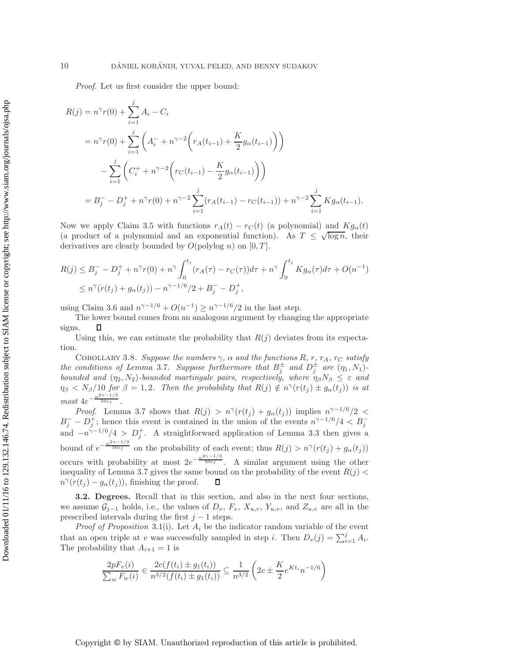*Proof*. Let us first consider the upper bound:

$$
R(j) = n^{\gamma}r(0) + \sum_{i=1}^{j} A_i - C_i
$$
  
=  $n^{\gamma}r(0) + \sum_{i=1}^{j} \left( A_i^{-} + n^{\gamma - 2} \left( r_A(t_{i-1}) + \frac{K}{2} g_{\alpha}(t_{i-1}) \right) \right)$   

$$
- \sum_{i=1}^{j} \left( C_i^{+} + n^{\gamma - 2} \left( r_C(t_{i-1}) - \frac{K}{2} g_{\alpha}(t_{i-1}) \right) \right)
$$
  
=  $B_j^{-} - D_j^{+} + n^{\gamma}r(0) + n^{\gamma - 2} \sum_{i=1}^{j} \left( r_A(t_{i-1}) - r_C(t_{i-1}) \right) + n^{\gamma - 2} \sum_{i=1}^{j} K g_{\alpha}(t_{i-1}).$ 

Now we apply Claim [3.5](#page-7-0) with functions  $r_A(t) - r_C(t)$  (a polynomial) and  $Kg_\alpha(t)$ (a product of a polynomial and an exponential function). As  $T \n\t\leq \sqrt{\log n}$ , their derivatives are clearly bounded by  $O(polylog n)$  on  $[0, T]$ .

$$
R(j) \leq B_j^- - D_j^+ + n^{\gamma} r(0) + n^{\gamma} \int_0^{t_j} (r_A(\tau) - r_C(\tau)) d\tau + n^{\gamma} \int_0^{t_j} K g_{\alpha}(\tau) d\tau + O(n^{-1})
$$
  
 
$$
\leq n^{\gamma} (r(t_j) + g_{\alpha}(t_j)) - n^{\gamma - 1/6} / 2 + B_j^- - D_j^+,
$$

using Claim [3.6](#page-8-1) and  $n^{\gamma-1/6} + O(n^{-1}) \ge n^{\gamma-1/6}/2$  in the last step.

The lower bound comes from an analogous argument by changing the appropriate signs. П

<span id="page-9-0"></span>Using this, we can estimate the probability that  $R(j)$  deviates from its expectation.

COROLLARY 3.8. *Suppose the numbers*  $\gamma$ ,  $\alpha$  *and the functions* R, r, r<sub>A</sub>, r<sub>C</sub> satisfy *the conditions of Lemma* [3.7](#page-8-0)*. Suppose furthermore that*  $B_2^{\pm}$  *and*  $D_3^{\pm}$  *are*  $(\eta_1, N_1)$ *-b sumbod and*  $(\eta_2, N_1)$  *bounded mentionals pairs respectively where*  $\eta$  *N*  $\leq$  *c s n*<sup>1</sup> *bounded and*  $(\eta_2, N_2)$ *-bounded martingale pairs, respectively, where*  $\eta_\beta N_\beta \leq \varepsilon$  *and*  $\eta_{\beta} < N_{\beta}/10$  for  $\beta = 1, 2$ . Then the probability that  $R(j) \notin n^{\gamma}(r(t_j) \pm g_{\alpha}(t_j))$  is at  $most \ 4e^{-\frac{n^{2\gamma-1/3}}{50\varepsilon j}}.$ 

*Proof.* Lemma [3.7](#page-8-0) shows that  $R(j) > n^{\gamma}(r(t_j) + g_{\alpha}(t_j))$  implies  $n^{\gamma-1/6}/2 <$  $B_i^- - D_i^+$ ; hence this event is contained in the union of the events  $n^{\gamma-1/6}/4 < B_i^-$ and  $-n^{\gamma-1/6}/4 > D_i^+$ . A straightforward application of Lemma [3.3](#page-6-0) then gives a bound of  $e^{-\frac{n^{2\gamma-1/3}}{50\epsilon_j}}$  on the probability of each event; thus  $R(j) > n^{\gamma}(r(t_j) + g_{\alpha}(t_j))$ occurs with probability at most  $2e^{-\frac{n^{2\gamma-1/3}}{50\varepsilon j}}$ . 50 A similar argument using the other inequality of Lemma [3.7](#page-8-0) gives the same bound on the probability of the event  $R(j)$  $n^{\gamma}(r(t_i) - g_{\alpha}(t_i))$ , finishing the proof. П

**3.2. Degrees.** Recall that in this section, and also in the next four sections, we assume  $\mathcal{G}_{j-1}$  holds, i.e., the values of  $D_v$ ,  $F_v$ ,  $X_{u,v}$ ,  $Y_{u,v}$ , and  $Z_{u,v}$  are all in the prescribed intervals during the first  $j - 1$  steps.

*Proof of Proposition* [3.1\(](#page-5-1)i). Let  $A_i$  be the indicator random variable of the event that an open triple at v was successfully sampled in step i. Then  $D_v(j) = \sum_{i=1}^j A_i$ .<br>The probability that  $A_{i+1} = 1$  is The probability that  $A_{i+1} = 1$  is

$$
\frac{2pF_v(i)}{\sum_w F_w(i)} \in \frac{2c(f(t_i) \pm g_1(t_i))}{n^{3/2}(f(t_i) \pm g_1(t_i))} \subseteq \frac{1}{n^{3/2}} \left(2c \pm \frac{K}{2}e^{Kt_i}n^{-1/6}\right)
$$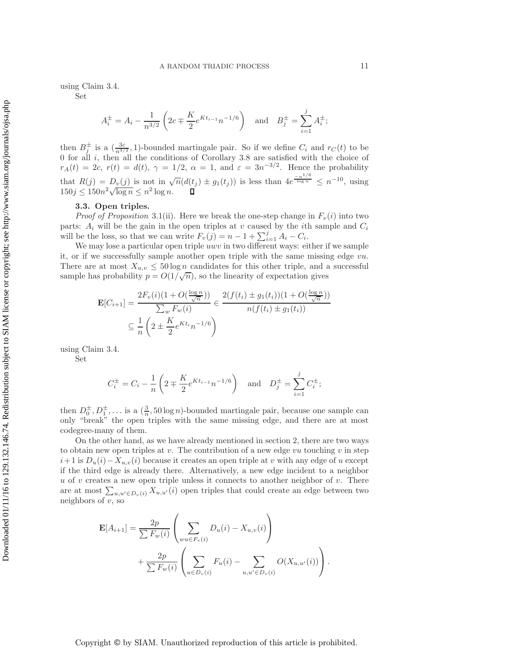using Claim [3.4.](#page-6-1)

Set

$$
A_i^{\pm} = A_i - \frac{1}{n^{3/2}} \left( 2c \mp \frac{K}{2} e^{Kt_{i-1}} n^{-1/6} \right) \text{ and } B_j^{\pm} = \sum_{i=1}^j A_i^{\pm};
$$

then  $B_{j}^{\pm}$  is a  $\left(\frac{3c}{n^{3/2}},1\right)$ -bounded martingale pair. So if we define  $C_i$  and  $r_C(t)$  to be 0 for all  $i$ , then all the conditions of Corollary [3.8](#page-9-0) are satisfied with the choice of  $r_A(t) = 2c, r(t) = d(t), \gamma = 1/2, \alpha = 1, \text{ and } \varepsilon = 3n^{-3/2}.$  Hence the probability that  $R(j) = D_v(j)$  is not in  $\sqrt{n}(d(t_j) \pm g_1(t_j))$  is less than  $4e^{\frac{-n^{1/6}}{\log n}} \leq n^{-10}$ , using  $150j \leq 150n^2\sqrt{\log n} \leq n^2 \log n$ .

# **3.3. Open triples.**

*Proof of Proposition* [3.1\(](#page-5-1)ii). Here we break the one-step change in  $F_v(i)$  into two parts:  $A_i$  will be the gain in the open triples at v caused by the *i*th sample and  $C_i$ will be the loss, so that we can write  $F_v(j) = n - 1 + \sum_{i=1}^{j} A_i - C_i$ .<br>We may lose a particular open triple *upp* in two different wave: ei

We may lose a particular open triple *uwv* in two different ways: either if we sample it, or if we successfully sample another open triple with the same missing edge vu. There are at most  $X_{u,v} \leq 50 \log n$  candidates for this other triple, and a successful sample has probability  $p = O(1/\sqrt{n})$ , so the linearity of expectation gives

$$
\mathbf{E}[C_{i+1}] = \frac{2F_v(i)(1 + O(\frac{\log n}{\sqrt{n}}))}{\sum_w F_w(i)} \in \frac{2(f(t_i) \pm g_1(t_i))(1 + O(\frac{\log n}{\sqrt{n}}))}{n(f(t_i) \pm g_1(t_i))}
$$

$$
\subseteq \frac{1}{n} \left(2 \pm \frac{K}{2} e^{Kt_i} n^{-1/6}\right)
$$

using Claim [3.4.](#page-6-1)

Set

$$
C_i^{\pm} = C_i - \frac{1}{n} \left( 2 \mp \frac{K}{2} e^{Kt_{i-1}} n^{-1/6} \right)
$$
 and  $D_j^{\pm} = \sum_{i=1}^j C_i^{\pm};$ 

then  $D_0^{\pm}, D_1^{\pm}, \ldots$  is a  $(\frac{3}{n}, 50 \log n)$ -bounded martingale pair, because one sample can<br>only "broak" the open triples with the same missing edge, and there are at most only "break" the open triples with the same missing edge, and there are at most codegree-many of them.

On the other hand, as we have already mentioned in section [2,](#page-2-0) there are two ways to obtain new open triples at  $v$ . The contribution of a new edge  $vu$  touching  $v$  in step  $i+1$  is  $D_u(i)-X_{u,v}(i)$  because it creates an open triple at v with any edge of u except if the third edge is already there. Alternatively, a new edge incident to a neighbor u of v creates a new open triple unless it connects to another neighbor of v. There are at most  $\sum_{u,u'\in D_v(i)} X_{u,u'}(i)$  open triples that could create an edge between two<br>neighbors of u.so neighbors of  $v$ , so

$$
\mathbf{E}[A_{i+1}] = \frac{2p}{\sum F_w(i)} \left( \sum_{wu \in F_v(i)} D_u(i) - X_{u,v}(i) \right) + \frac{2p}{\sum F_w(i)} \left( \sum_{u \in D_v(i)} F_u(i) - \sum_{u,u' \in D_v(i)} O(X_{u,u'}(i)) \right).
$$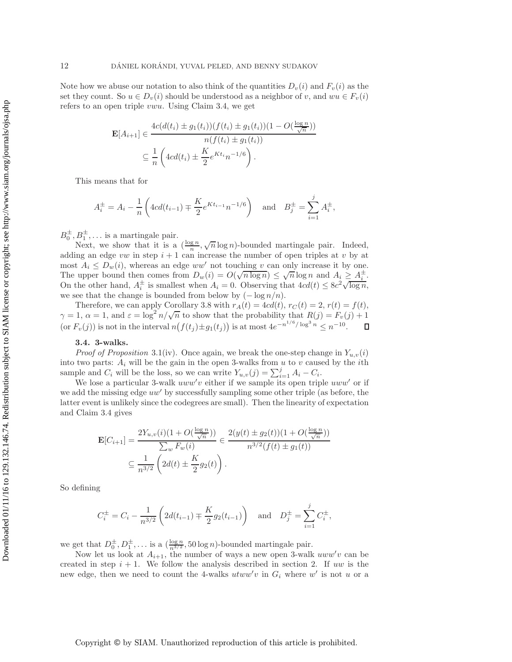Note how we abuse our notation to also think of the quantities  $D_v(i)$  and  $F_v(i)$  as the set they count. So  $u \in D_v(i)$  should be understood as a neighbor of v, and  $wu \in F_v(i)$ refers to an open triple vwu. Using Claim [3.4,](#page-6-1) we get

$$
\mathbf{E}[A_{i+1}] \in \frac{4c(d(t_i) \pm g_1(t_i))(f(t_i) \pm g_1(t_i))(1 - O(\frac{\log n}{\sqrt{n}}))}{n(f(t_i) \pm g_1(t_i))}
$$

$$
\subseteq \frac{1}{n} \left(4cd(t_i) \pm \frac{K}{2}e^{Kt_i}n^{-1/6}\right).
$$

This means that for

$$
A_i^{\pm} = A_i - \frac{1}{n} \left( 4cd(t_{i-1}) \mp \frac{K}{2} e^{Kt_{i-1}} n^{-1/6} \right) \text{ and } B_j^{\pm} = \sum_{i=1}^j A_i^{\pm},
$$

 $B_0^{\pm}, B_1^{\pm}, \ldots$  is a martingale pair.<br>Noxt we show that it is a

 $D_1$ ,... is a martingale pair.<br>Next, we show that it is a  $(\frac{\log n}{n}, \sqrt{n}\log n)$ -bounded martingale pair. Indeed, adding an edge vw in step  $i + 1$  can increase the number of open triples at v by at most  $A_i \leq D_w(i)$ , whereas an edge ww' not touching v can only increase it by one. The upper bound then comes from  $D_w(i) = O(\sqrt{n \log n}) \leq \sqrt{n} \log n$  and  $A_i \geq A_i^{\pm}$ . The upper bound then comes from  $D_w(t) = O(\sqrt{n} \log n) \le \sqrt{n} \log n$  and  $A_i \le A_i$ .<br>On the other hand,  $A_i^{\pm}$  is smallest when  $A_i = 0$ . Observing that  $4cd(t) \le 8c^2 \sqrt{\log n}$ , we see that the change is bounded from below by  $(-\log n/n)$ .

Therefore, we can apply Corollary [3.8](#page-9-0) with  $r_A(t)=4cd(t), r_C(t) = 2, r(t) = f(t),$  $\gamma = 1$ ,  $\alpha = 1$ , and  $\varepsilon = \log^2 n / \sqrt{n}$  to show that the probability that  $R(j) = F_v(j) + 1$ (or  $F_v(j)$ ) is not in the interval  $n(f(t_j) \pm g_1(t_j))$  is at most  $4e^{-n^{1/6}/\log^3 n} \leq n^{-10}$ .  $\Box$ 

## **3.4. 3-walks.**

*Proof of Proposition* [3.1\(](#page-5-1)iv). Once again, we break the one-step change in  $Y_{u,v}(i)$ into two parts:  $A_i$  will be the gain in the open 3-walks from  $u$  to  $v$  caused by the *i*th sample and  $C_i$  will be the loss, so we can write  $Y_{u,v}(j) = \sum_{i=1}^j A_i - C_i$ .<br>We lose a particular 3-walk *uww'v* either if we sample its open trip

We lose a particular 3-walk  $uww'v$  either if we sample its open triple  $uww'$  or if we add the missing edge  $uw'$  by successfully sampling some other triple (as before, the latter event is unlikely since the codegrees are small). Then the linearity of expectation and Claim [3.4](#page-6-1) gives

$$
\mathbf{E}[C_{i+1}] = \frac{2Y_{u,v}(i)(1 + O(\frac{\log n}{\sqrt{n}}))}{\sum_{w} F_w(i)} \in \frac{2(y(t) \pm g_2(t))(1 + O(\frac{\log n}{\sqrt{n}}))}{n^{3/2}(f(t) \pm g_1(t))}
$$

$$
\subseteq \frac{1}{n^{3/2}} \left(2d(t) \pm \frac{K}{2}g_2(t)\right).
$$

So defining

$$
C_i^{\pm} = C_i - \frac{1}{n^{3/2}} \left( 2d(t_{i-1}) \mp \frac{K}{2} g_2(t_{i-1}) \right)
$$
 and  $D_j^{\pm} = \sum_{i=1}^j C_i^{\pm}$ ,

we get that  $D_0^{\pm}, D_1^{\pm}, \ldots$  is a  $(\frac{\log n}{n^{3/2}}, 50 \log n)$ -bounded martingale pair.

Now let us look at  $A_{i+1}$ , the number of ways a new open 3-walk  $uww'v$  can be created in step  $i + 1$ . We follow the analysis described in section [2.](#page-2-0) If uw is the new edge, then we need to count the 4-walks  $utww'v$  in  $G_i$  where w' is not u or a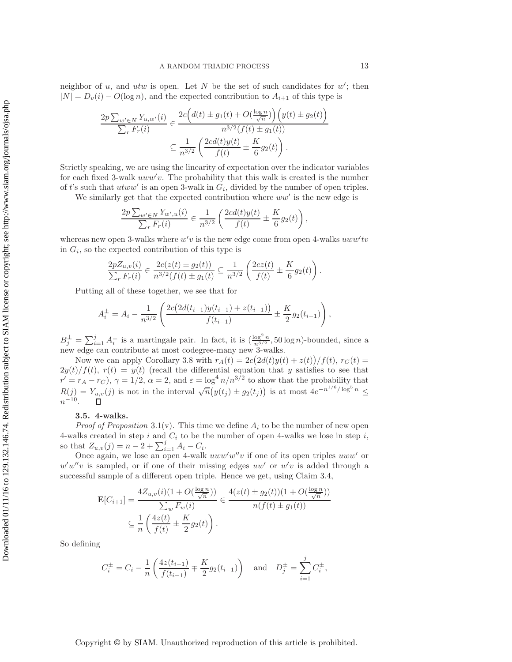neighbor of  $u$ , and  $utw$  is open. Let  $N$  be the set of such candidates for  $w'$ ; then  $|N| = D_v(i) - O(\log n)$ , and the expected contribution to  $A_{i+1}$  of this type is

$$
\frac{2p \sum_{w' \in N} Y_{u,w'}(i)}{\sum_{r} F_r(i)} \in \frac{2c(d(t) \pm g_1(t) + O(\frac{\log n}{\sqrt{n}})) (y(t) \pm g_2(t))}{n^{3/2}(f(t) \pm g_1(t))}
$$

$$
\subseteq \frac{1}{n^{3/2}} \left( \frac{2cd(t)y(t)}{f(t)} \pm \frac{K}{6} g_2(t) \right).
$$

Strictly speaking, we are using the linearity of expectation over the indicator variables for each fixed 3-walk  $uww'v$ . The probability that this walk is created is the number of t's such that utww' is an open 3-walk in  $G_i$ , divided by the number of open triples.

We similarly get that the expected contribution where  $ww'$  is the new edge is

$$
\frac{2p\sum_{w'\in N}Y_{w',u}(i)}{\sum_{r}F_r(i)} \in \frac{1}{n^{3/2}}\left(\frac{2cd(t)y(t)}{f(t)} \pm \frac{K}{6}g_2(t)\right),\,
$$

whereas new open 3-walks where  $w'v$  is the new edge come from open 4-walks  $uww'tv$ in  $G_i$ , so the expected contribution of this type is

$$
\frac{2pZ_{u,v}(i)}{\sum_r F_r(i)} \in \frac{2c(z(t) \pm g_2(t))}{n^{3/2}(f(t) \pm g_1(t))} \subseteq \frac{1}{n^{3/2}} \left(\frac{2cz(t)}{f(t)} \pm \frac{K}{6}g_2(t)\right).
$$

Putting all of these together, we see that for

$$
A_i^{\pm} = A_i - \frac{1}{n^{3/2}} \left( \frac{2c \left( 2d(t_{i-1})y(t_{i-1}) + z(t_{i-1}) \right)}{f(t_{i-1})} \pm \frac{K}{2} g_2(t_{i-1}) \right),
$$

 $B_j^{\pm} = \sum_{i=1}^j A_i^{\pm}$  is a martingale pair. In fact, it is  $\left(\frac{\log^2 n}{n^{3/2}}, 50 \log n\right)$ -bounded, since a new edge can contribute at most codegree-many new 3-walks new edge can contribute at most codegree-many new 3-walks.

Now we can apply Corollary [3.8](#page-9-0) with  $r_A(t) = 2c(2d(t)y(t) + z(t))/f(t)$ ,  $r_C(t) =$  $2y(t)/f(t)$ ,  $r(t) = y(t)$  (recall the differential equation that y satisfies to see that  $r' = r_A - r_C$ ,  $\gamma = 1/2$ ,  $\alpha = 2$ , and  $\varepsilon = \log^4 n/n^{3/2}$  to show that the probability that  $R(j) = Y_{u,v}(j)$  is not in the interval  $\sqrt{n}(y(t_j) \pm g_2(t_j))$  is at most  $4e^{-n^{1/6}/\log^5 n} \le$  $n^{-10}$ .  $\Box$ 

#### **3.5. 4-walks.**

*Proof of Proposition* [3.1\(](#page-5-1)v). This time we define  $A_i$  to be the number of new open 4-walks created in step i and  $C_i$  to be the number of open 4-walks we lose in step i, so that  $Z_{u,v}(j) = n - 2 + \sum_{i=1}^{j} A_i - C_i$ .<br>Once again we lose an open  $A$ -walk

Once again, we lose an open 4-walk  $uww'w''v$  if one of its open triples  $uww'$  or  $w'w''v$  is sampled, or if one of their missing edges  $uw'$  or  $w'v$  is added through a successful sample of a different open triple. Hence we get, using Claim [3.4,](#page-6-1)

$$
\mathbf{E}[C_{i+1}] = \frac{4Z_{u,v}(i)(1 + O(\frac{\log n}{\sqrt{n}}))}{\sum_{w} F_w(i)} \in \frac{4(z(t) \pm g_2(t))(1 + O(\frac{\log n}{\sqrt{n}}))}{n(f(t) \pm g_1(t))}
$$

$$
\subseteq \frac{1}{n} \left(\frac{4z(t)}{f(t)} \pm \frac{K}{2}g_2(t)\right).
$$

So defining

$$
C_i^{\pm} = C_i - \frac{1}{n} \left( \frac{4z(t_{i-1})}{f(t_{i-1})} \mp \frac{K}{2} g_2(t_{i-1}) \right)
$$
 and  $D_j^{\pm} = \sum_{i=1}^j C_i^{\pm}$ ,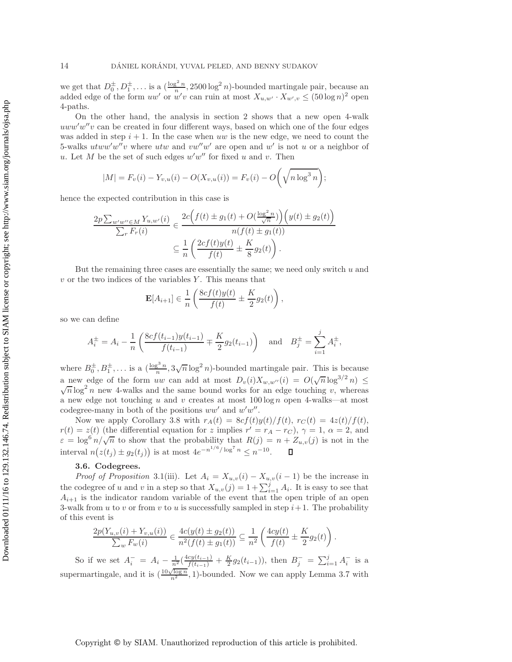we get that  $D_0^{\pm}, D_1^{\pm}, \ldots$  is a  $(\frac{\log^2 n}{n}, 2500 \log^2 n)$ -bounded martingale pair, because an added edge of the form *uw'* or *w'* can ruin at most  $X \rightarrow X \rightarrow \mathbb{Z}$  (50 log n)<sup>2</sup> open added edge of the form  $uw'$  or  $w'v$  can ruin at most  $X_{u,w'} \cdot X_{w',v} \leq (50 \log n)^2$  open 4-paths.

On the other hand, the analysis in section [2](#page-2-0) shows that a new open 4-walk  $uww'w''v$  can be created in four different ways, based on which one of the four edges was added in step  $i + 1$ . In the case when uw is the new edge, we need to count the 5-walks  $utww'w''v$  where  $utw$  and  $vw''w'$  are open and w' is not u or a neighbor of u. Let M be the set of such edges  $w'w''$  for fixed u and v. Then

$$
|M| = F_v(i) - Y_{v,u}(i) - O(X_{v,u}(i)) = F_v(i) - O\left(\sqrt{n \log^3 n}\right);
$$

hence the expected contribution in this case is

$$
\frac{2p \sum_{w'w'' \in M} Y_{u,w'}(i)}{\sum_{r} F_r(i)} \in \frac{2c(f(t) \pm g_1(t) + O(\frac{\log^2 n}{\sqrt{n}})) (y(t) \pm g_2(t))}{n(f(t) \pm g_1(t))}
$$

$$
\subseteq \frac{1}{n} \left( \frac{2cf(t)y(t)}{f(t)} \pm \frac{K}{8} g_2(t) \right).
$$

But the remaining three cases are essentially the same; we need only switch  $u$  and  $v$  or the two indices of the variables Y. This means that

$$
\mathbf{E}[A_{i+1}] \in \frac{1}{n} \left( \frac{8cf(t)y(t)}{f(t)} \pm \frac{K}{2} g_2(t) \right),\,
$$

so we can define

$$
A_i^{\pm} = A_i - \frac{1}{n} \left( \frac{8cf(t_{i-1})y(t_{i-1})}{f(t_{i-1})} \mp \frac{K}{2} g_2(t_{i-1}) \right) \text{ and } B_j^{\pm} = \sum_{i=1}^j A_i^{\pm},
$$

where  $B_0^{\pm}, B_1^{\pm}, \ldots$  is a  $\left(\frac{\log^3 n}{n}, 3\sqrt{n} \log^2 n\right)$ -bounded martingale pair. This is because a new edge of the form uw can add at most  $D_v(i)X_{w,w''}(i) = O(\sqrt{n}\log^{3/2} n) \leq$  $\sqrt{n} \log^2 n$  new 4-walks and the same bound works for an edge touching v, whereas a new edge not touching u and v creates at most  $100 \log n$  open 4-walks—at most codegree-many in both of the positions  $ww'$  and  $w'w''$ .

Now we apply Corollary [3.8](#page-9-0) with  $r_A(t)=8cf(t)y(t)/f(t), r_C(t)=4z(t)/f(t),$  $r(t) = z(t)$  (the differential equation for z implies  $r' = r_A - r_C$ ),  $\gamma = 1$ ,  $\alpha = 2$ , and  $\varepsilon = \log^6 n / \sqrt{n}$  to show that the probability that  $R(j) = n + Z_{u,v}(j)$  is not in the interval  $n(z(t_j) \pm g_2(t_j))$  is at most  $4e^{-n^{1/6}/\log^7 n} \leq n^{-10}$ . п

### **3.6. Codegrees.**

*Proof of Proposition* [3.1\(](#page-5-1)iii). Let  $A_i = X_{u,v}(i) - X_{u,v}(i-1)$  be the increase in the codegree of u and v in a step so that  $X_{u,v}(j) = 1 + \sum_{i=1}^{j} A_i$ . It is easy to see that  $A_{i+1}$  is the indicator random variable of the event that the open triple of an open 3-walk from u to v or from v to u is successfully sampled in step  $i+1$ . The probability of this event is

$$
\frac{2p(Y_{u,v}(i) + Y_{v,u}(i))}{\sum_w F_w(i)} \in \frac{4c(y(t) \pm g_2(t))}{n^2(f(t) \pm g_1(t))} \subseteq \frac{1}{n^2} \left(\frac{4cy(t)}{f(t)} \pm \frac{K}{2}g_2(t)\right).
$$

So if we set  $A_i^- = A_i - \frac{1}{n^2} (\frac{4cy(t_{i-1})}{f(t_{i-1})} + \frac{K}{2} g_2(t_{i-1}))$ , then  $B_j^- = \sum_{i=1}^j A_i^-$  is a supermartingale, and it is  $\left(\frac{10\sqrt{\log n}}{n^2}, 1\right)$ -bounded. Now we can apply Lemma [3.7](#page-8-0) with

Copyright © by SIAM. Unauthorized reproduction of this article is prohibited.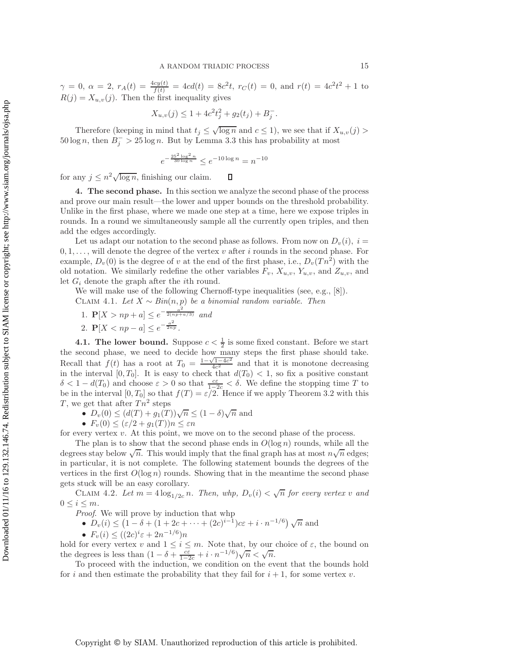$\gamma = 0$ ,  $\alpha = 2$ ,  $r_A(t) = \frac{4cy(t)}{f(t)} = 4cd(t) = 8c^2t$ ,  $r_C(t) = 0$ , and  $r(t) = 4c^2t^2 + 1$  to  $P(s) = Y_s$  (i). Then the first inequality gives  $R(j) = X_{u,v}(j)$ . Then the first inequality gives

$$
X_{u,v}(j) \le 1 + 4c^2 t_j^2 + g_2(t_j) + B_j^-.
$$

Therefore (keeping in mind that  $t_j \leq \sqrt{\log n}$  and  $c \leq 1$ ), we see that if  $X_{u,v}(j)$  $50 \log n$ , then  $B_i^- > 25 \log n$ . But by Lemma [3.3](#page-6-0) this has probability at most

$$
e^{-\frac{25^2\log^2 n}{30\log n}} \leq e^{-10\log n} = n^{-10}
$$

<span id="page-14-0"></span>for any  $j \leq n^2 \sqrt{\log n}$ , finishing our claim.  $\Box$ 

**4. The second phase.** In this section we analyze the second phase of the process and prove our main result—the lower and upper bounds on the threshold probability. Unlike in the first phase, where we made one step at a time, here we expose triples in rounds. In a round we simultaneously sample all the currently open triples, and then add the edges accordingly.

Let us adapt our notation to the second phase as follows. From now on  $D_v(i)$ ,  $i =$  $0, 1, \ldots$ , will denote the degree of the vertex v after i rounds in the second phase. For example,  $D_v(0)$  is the degree of v at the end of the first phase, i.e.,  $D_v(Tn^2)$  with the old notation. We similarly redefine the other variables  $F_v$ ,  $X_{u,v}$ ,  $Y_{u,v}$ , and  $Z_{u,v}$ , and let  $G_i$  denote the graph after the *i*th round.

<span id="page-14-1"></span>We will make use of the following Chernoff-type inequalities (see, e.g., [\[8\]](#page-18-8)).

CLAIM 4.1. *Let*  $X ∼ Bin(n, p)$  *be a binomial random variable. Then* 

- 1.  $\mathbf{P}[X > np + a] \leq e^{-\frac{a^2}{2(np + a/3)}}$  and
- 2.  $P[X < np a] \leq e^{-\frac{a^2}{2np}}$ .

**4.1. The lower bound.** Suppose  $c < \frac{1}{2}$  is some fixed constant. Before we start second phase, we need to decide how many steps the first phase should take the second phase, we need to decide how many steps the first phase should take.<br>Recall that  $f(t)$  has a root at  $T_0 = \frac{1-\sqrt{1-4c^2}}{4c^2}$  and that it is monotone decreasing<br>in the interval [0 T<sub>o</sub>]. It is easy to check t in the interval  $[0, T_0]$ . It is easy to check that  $d(T_0) < 1$ , so fix a positive constant  $\delta < 1 - d(T_0)$  and choose  $\varepsilon > 0$  so that  $\frac{c\varepsilon}{1-2c} < \delta$ . We define the stopping time T to be in the interval [0 To] so that  $f(T) = \varepsilon/2$ . Hence if we apply Theorem 3.2 with this be in the interval  $[0, T_0]$  so that  $f(T) = \varepsilon/2$ . Hence if we apply Theorem [3.2](#page-5-2) with this T, we get that after  $T n^2$  steps

- $D_v(0) \leq (d(T) + g_1(T))\sqrt{n} \leq (1 \delta)\sqrt{n}$  and
- $F_v(0) \leq (\varepsilon/2 + g_1(T))n \leq \varepsilon n$

for every vertex v. At this point, we move on to the second phase of the process.

The plan is to show that the second phase ends in  $O(\log n)$  rounds, while all the The plan is to show that the second phase ends in  $O(\log n)$  founds, while an the degrees stay below  $\sqrt{n}$ . This would imply that the final graph has at most  $n\sqrt{n}$  edges; in particular, it is not complete. The following statement bounds the degrees of the vertices in the first  $O(\log n)$  rounds. Showing that in the meantime the second phase gets stuck will be an easy corollary.

<span id="page-14-2"></span>CLAIM 4.2. Let  $m = 4 \log_{1/2c} n$ . Then, whp,  $D_v(i) < \sqrt{n}$  for every vertex v and  $i \leq m$  $0 \leq i \leq m$ .

*Proof*. We will prove by induction that whp

\n- $$
D_v(i) \leq (1 - \delta + (1 + 2c + \cdots + (2c)^{i-1})cz + i \cdot n^{-1/6})\sqrt{n}
$$
 and
\n

•  $F_v(i) \leq ((2c)^i \varepsilon + 2n^{-1/6})n$ 

hold for every vertex v and  $1 \leq i \leq m$ . Note that, by our choice of  $\varepsilon$ , the bound on the degrees is less than  $(1 - \delta + \frac{c \varepsilon}{1 - 2c} + i \cdot n^{-1/6})\sqrt{n} < \sqrt{n}$ .<br>To proceed with the induction we condition on the ex-

To proceed with the induction, we condition on the event that the bounds hold for i and then estimate the probability that they fail for  $i + 1$ , for some vertex v.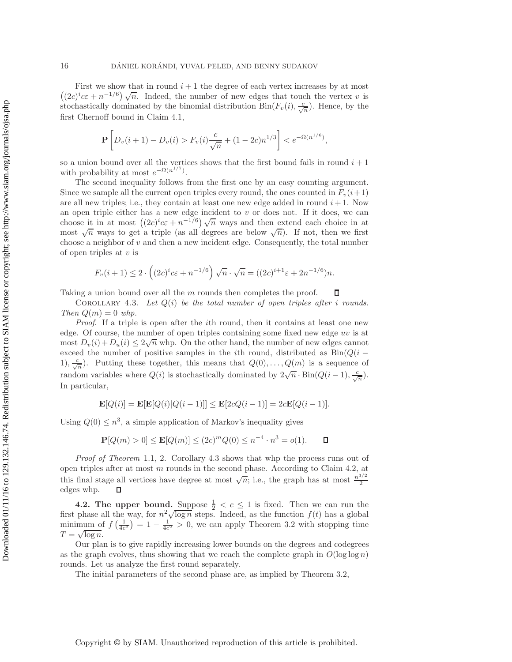First we show that in round  $i + 1$  the degree of each vertex increases by at most First we show that in found  $i + 1$  the degree of each vertex increases by at most  $((2c)^{i}c\epsilon + n^{-1/6})\sqrt{n}$ . Indeed, the number of new edges that touch the vertex v is stochastically dominated by the binomial distribution  $\overline{Bin}(F_v(i), \frac{c}{\sqrt{n}})$ . Hence, by the first Chernoff bound in Claim [4.1,](#page-14-1)

$$
\mathbf{P}\left[D_v(i+1) - D_v(i) > F_v(i)\frac{c}{\sqrt{n}} + (1 - 2c)n^{1/3}\right] < e^{-\Omega(n^{1/6})},
$$

so a union bound over all the vertices shows that the first bound fails in round  $i + 1$ with probability at most  $e^{-\Omega(n^{1/7})}$ .

The second inequality follows from the first one by an easy counting argument. Since we sample all the current open triples every round, the ones counted in  $F_v(i+1)$ are all new triples; i.e., they contain at least one new edge added in round  $i + 1$ . Now an open triple either has a new edge incident to  $v$  or does not. If it does, we can an open triple entire has a new edge incluent to v or does not. If it does, we can<br>choose it in at most  $((2c)^i c \epsilon + n^{-1/6}) \sqrt{n}$  ways and then extend each choice in at most  $\sqrt{n}$  ways to get a triple (as all degrees are below  $\sqrt{n}$ ). If not, then we first choose a neighbor of  $v$  and then a new incident edge. Consequently, the total number of open triples at  $v$  is

$$
F_v(i+1) \le 2 \cdot \left( (2c)^i c \varepsilon + n^{-1/6} \right) \sqrt{n} \cdot \sqrt{n} = ((2c)^{i+1} \varepsilon + 2n^{-1/6})n.
$$

<span id="page-15-0"></span>Taking a union bound over all the m rounds then completes the proof. п

Corollary 4.3. *Let* Q(i) *be the total number of open triples after* i *rounds. Then*  $Q(m)=0$  *whp.* 

*Proof.* If a triple is open after the *i*th round, then it contains at least one new edge. Of course, the number of open triples containing some fixed new edge  $uv$  is at edge. Or course, the number of open triples containing some fixed new edge *at* is at most  $D_v(i) + D_u(i) \leq 2\sqrt{n}$  whp. On the other hand, the number of new edges cannot exceed the number of positive samples in the *i*th round, distributed as  $Bin(Q(i -$ 1),  $\frac{c}{\sqrt{n}}$ ). Putting these together, this means that  $Q(0), \ldots, Q(m)$  is a sequence of random variables where  $Q(i)$  is stochastically dominated by  $2\sqrt{n} \cdot \text{Bin}(Q(i-1), \frac{c}{\sqrt{n}})$ . In particular,

$$
\mathbf{E}[Q(i)] = \mathbf{E}[\mathbf{E}[Q(i)|Q(i-1)]] \le \mathbf{E}[2cQ(i-1)] = 2c\mathbf{E}[Q(i-1)].
$$

Using  $Q(0) \leq n^3$ , a simple application of Markov's inequality gives

$$
\mathbf{P}[Q(m) > 0] \le \mathbf{E}[Q(m)] \le (2c)^m Q(0) \le n^{-4} \cdot n^3 = o(1). \qquad \Box
$$

*Proof of Theorem* [1.1,](#page-0-0) 2. Corollary [4.3](#page-15-0) shows that whp the process runs out of open triples after at most m rounds in the second phase. According to Claim [4.2,](#page-14-2) at this final stage all vertices have degree at most  $\sqrt{n}$ ; i.e., the graph has at most  $\frac{n^{3/2}}{2}$ edges whp.  $\Box$ 

**4.2. The upper bound.** Suppose  $\frac{1}{2} < c \le 1$  is fixed. Then we can run the phase all the way for  $n^2 \sqrt{\log n}$  steps. Indeed, as the function  $f(t)$  has a global first phase all the way, for  $n^2\sqrt{\log n}$  steps. Indeed, as the function  $f(t)$  has a global minimum of  $f\left(\frac{1}{4c^2}\right) = 1 - \frac{1}{4c^2} > 0$ , we can apply Theorem [3.2](#page-5-2) with stopping time  $T = \sqrt{\log n}$ .

Our plan is to give rapidly increasing lower bounds on the degrees and codegrees as the graph evolves, thus showing that we reach the complete graph in  $O(\log \log n)$ rounds. Let us analyze the first round separately.

The initial parameters of the second phase are, as implied by Theorem [3.2,](#page-5-2)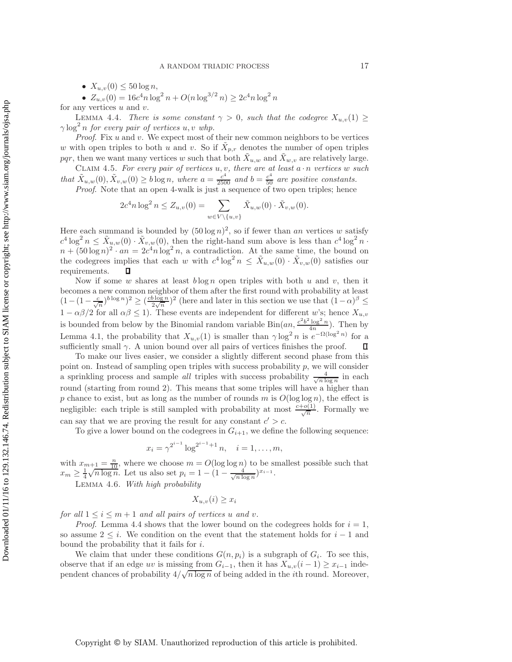•  $X_{u,v}(0) \le 50 \log n$ ,

• 
$$
Z_{u,v}(0) = 16c^4n \log^2 n + O(n \log^{3/2} n) \ge 2c^4n \log^2 n
$$

<span id="page-16-0"></span>for any vertices  $u$  and  $v$ .

LEMMA 4.4. *There is some constant*  $\gamma > 0$ *, such that the codegree*  $X_{u,v}(1) \geq$  $\gamma \log^2 n$  for every pair of vertices  $u, v$  whp.

*Proof*. Fix u and v. We expect most of their new common neighbors to be vertices w with open triples to both u and v. So if  $X_{p,r}$  denotes the number of open triples pqr, then we want many vertices w such that both  $\tilde{X}_{u,w}$  and  $\tilde{X}_{w,v}$  are relatively large.

Claim 4.5. *For every pair of vertices* u, v*, there are at least* a · n *vertices* w *such that*  $\tilde{X}_{u,w}(0), \tilde{X}_{v,w}(0) \geq b \log n$ , where  $a = \frac{c^4}{2500}$  and  $b = \frac{c^4}{50}$  are positive constants.<br>Proof Note that an open 4-walk is just a sequence of two open triples; hence *Proof.* Note that an open 4-walk is just a sequence of two open triples; hence

$$
2c^{4}n \log^{2} n \leq Z_{u,v}(0) = \sum_{w \in V \setminus \{u,v\}} \tilde{X}_{u,w}(0) \cdot \tilde{X}_{v,w}(0).
$$

Here each summand is bounded by  $(50 \log n)^2$ , so if fewer than an vertices w satisfy  $c^4 \log^2 n \leq \tilde{X}_{u,w}(0) \cdot \tilde{X}_{v,w}(0)$ , then the right-hand sum above is less than  $c^4 \log^2 n$ .  $n + (50 \log n)^2 \cdot an = 2c^4 n \log^2 n$ , a contradiction. At the same time, the bound on the codegrees implies that each w with  $c^4 \log^2 n \leq \tilde{X}_{u,w}(0) \cdot \tilde{X}_{v,w}(0)$  satisfies our requirements. П

Now if some w shares at least  $b \log n$  open triples with both u and v, then it becomes a new common neighbor of them after the first round with probability at least  $(1-(1-\frac{c}{\sqrt{n}})^{b\log n})^2 \ge (\frac{c\log n}{2\sqrt{n}})^2$  (here and later in this section we use that  $(1-\alpha)^{\beta} \le$ <br>1.  $\alpha\beta/2$  for all  $\alpha\beta < 1$ ). These events are independent for different  $w$ 's being  $1 - \alpha\beta/2$  for all  $\alpha\beta \leq 1$ ). These events are independent for different w's; hence  $X_{u,v}$ is bounded from below by the Binomial random variable  $\text{Bin}(an, \frac{c^2b^2 \log^2 n}{4n})$ . Then by Lemma [4.1,](#page-14-1) the probability that  $X_{u,v}(1)$  is smaller than  $\gamma \log^2 n$  is  $e^{-\Omega(\log^2 n)}$  for a sufficiently small  $\gamma$ . A union bound over all pairs of vertices finishes the proof.  $\Box$ 

To make our lives easier, we consider a slightly different second phase from this point on. Instead of sampling open triples with success probability  $p$ , we will consider a sprinkling process and sample *all* triples with success probability  $\frac{4}{\sqrt{n \log n}}$  in each regard (starting from round 2). This means that some triples will have a higher than round (starting from round 2). This means that some triples will have a higher than p chance to exist, but as long as the number of rounds m is  $O(\log \log n)$ , the effect is negligible: each triple is still sampled with probability at most  $\frac{c+o(1)}{\sqrt{n}}$ . Formally we can say that we are proving the result for any constant  $c' > c$ .

To give a lower bound on the codegrees in  $G_{i+1}$ , we define the following sequence:

$$
x_i = \gamma^{2^{i-1}} \log^{2^{i-1}+1} n, \quad i = 1, \dots, m,
$$

with  $x_{m+1} = \frac{n}{10}$ , where we choose  $m = O(\log \log n)$  to be smallest possible such that  $x_m \geq \frac{1}{4} \sqrt{n \log n}$ . Let us also set  $p_i = 1 - (1 - \frac{4}{\sqrt{n \log n}})^{x_{i-1}}$ .

<span id="page-16-1"></span>4 Lemma 4.6. *With high probability*

$$
X_{u,v}(i) \ge x_i
$$

*for all*  $1 \leq i \leq m+1$  *and all pairs of vertices u and v*.

*Proof.* Lemma [4.4](#page-16-0) shows that the lower bound on the codegrees holds for  $i = 1$ , so assume  $2 \leq i$ . We condition on the event that the statement holds for  $i-1$  and bound the probability that it fails for i.

We claim that under these conditions  $G(n, p_i)$  is a subgraph of  $G_i$ . To see this, observe that if an edge uv is missing from  $G_{i-1}$ , then it has  $X_{u,v}(i-1) \geq x_{i-1}$  indebobserve that if an edge *uv* is missing from  $G_{i-1}$ , then it has  $A_{u,v}(i-1) \geq x_{i-1}$  independent chances of probability  $4/\sqrt{n \log n}$  of being added in the *i*th round. Moreover,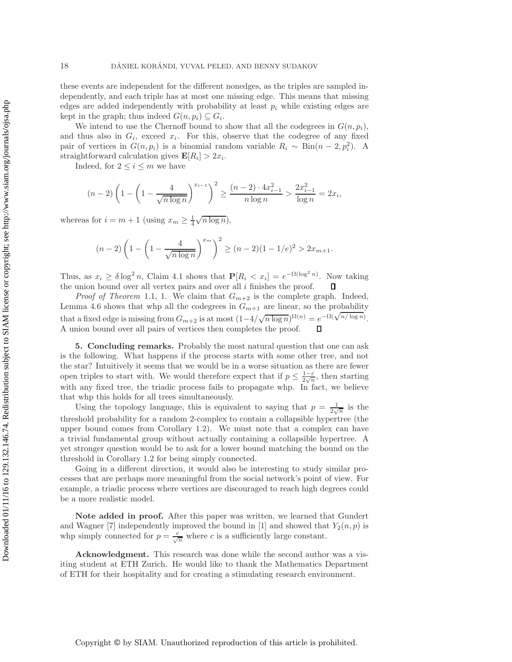these events are independent for the different nonedges, as the triples are sampled independently, and each triple has at most one missing edge. This means that missing edges are added independently with probability at least  $p_i$  while existing edges are kept in the graph; thus indeed  $G(n, p_i) \subseteq G_i$ .

We intend to use the Chernoff bound to show that all the codegrees in  $G(n, p_i)$ , and thus also in  $G_i$ , exceed  $x_i$ . For this, observe that the codegree of any fixed pair of vertices in  $G(n, p_i)$  is a binomial random variable  $R_i \sim Bin(n-2, p_i^2)$ . A straightforward calculation gives  $\mathbf{E}[R_i] > 2x_i$ .

Indeed, for  $2 \leq i \leq m$  we have

$$
(n-2)\left(1-\left(1-\frac{4}{\sqrt{n\log n}}\right)^{x_{i-1}}\right)^2 \ge \frac{(n-2)\cdot 4x_{i-1}^2}{n\log n} > \frac{2x_{i-1}^2}{\log n} = 2x_i,
$$

whereas for  $i = m + 1$  (using  $x_m \geq \frac{1}{4} \sqrt{n \log n}$ ),

$$
(n-2)\left(1 - \left(1 - \frac{4}{\sqrt{n\log n}}\right)^{x_m}\right)^2 \ge (n-2)(1 - 1/e)^2 > 2x_{m+1}.
$$

Thus, as  $x_i \ge \delta \log^2 n$ , Claim [4.1](#page-14-1) shows that  $\mathbf{P}[R_i < x_i] = e^{-\Omega(\log^2 n)}$ . Now taking the union bound over all vertex pairs and over all  $i$  finishes the proof. Д

*Proof of Theorem* [1.1,](#page-0-0) 1. We claim that  $G_{m+2}$  is the complete graph. Indeed, Lemma [4.6](#page-16-1) shows that whp all the codegrees in  $G_{m+1}$  are linear, so the probability that a fixed edge is missing from  $G_{m+2}$  is at most  $(1-4/\sqrt{n \log n})^{\Omega(n)} = e^{-\Omega(\sqrt{n/\log n})}$ .<br>A union bound group all point of untition than completes the proof. A union bound over all pairs of vertices then completes the proof.  $\mathsf{\Pi}$ 

<span id="page-17-0"></span>**5. Concluding remarks.** Probably the most natural question that one can ask is the following. What happens if the process starts with some other tree, and not the star? Intuitively it seems that we would be in a worse situation as there are fewer open triples to start with. We would therefore expect that if  $p \leq \frac{1-\varepsilon}{2\sqrt{n}}$ , then starting with any fixed tree, the triadic process fails to propagate whp. In fact, we believe that whp this holds for all trees simultaneously.

Using the topology language, this is equivalent to saying that  $p = \frac{1}{2\sqrt{n}}$  is the 2 threshold probability for a random 2-complex to contain a collapsible hypertree (the upper bound comes from Corollary [1.2\)](#page-1-0). We must note that a complex can have a trivial fundamental group without actually containing a collapsible hypertree. A yet stronger question would be to ask for a lower bound matching the bound on the threshold in Corollary [1.2](#page-1-0) for being simply connected.

Going in a different direction, it would also be interesting to study similar processes that are perhaps more meaningful from the social network's point of view. For example, a triadic process where vertices are discouraged to reach high degrees could be a more realistic model.

**Note added in proof.** After this paper was written, we learned that Gundert and Wagner [\[7\]](#page-18-9) independently improved the bound in [\[1\]](#page-18-7) and showed that  $Y_2(n, p)$  is whp simply connected for  $p = \frac{c}{\sqrt{n}}$  where c is a sufficiently large constant.

**Acknowledgment.** This research was done while the second author was a visiting student at ETH Zurich. He would like to thank the Mathematics Department of ETH for their hospitality and for creating a stimulating research environment.